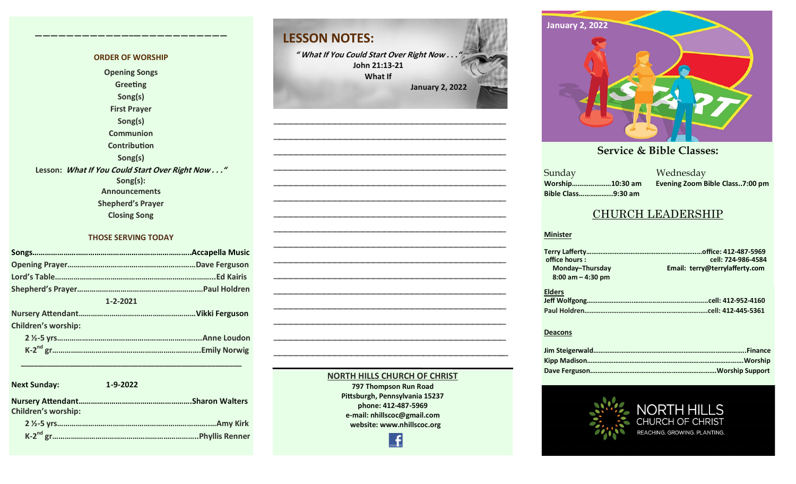#### **ORDER OF WORSHIP Opening Songs Greeting Song(s) First Prayer Song(s) Communion Contribution Song(s) Lesson: What If You Could Start Over Right Now . . ." Song(s): Announcements Shepherd's Prayer Closing Song**

**————————————–————————————**

#### **THOSE SERVING TODAY**

| $1 - 2 - 2021$ |                            |  |  |  |
|----------------|----------------------------|--|--|--|
|                |                            |  |  |  |
|                | <b>Children's worship:</b> |  |  |  |
|                |                            |  |  |  |
|                |                            |  |  |  |

**Next Sunday: 1-9-2022 Nursery Attendant……………………………………………….Sharon Walters Children's worship: 2 ½-5 yrs………………………………………………………………..…Amy Kirk K-2 nd gr……………………………………………………………..Phyllis Renner**

 **\_\_\_\_\_\_\_\_\_\_\_\_\_\_\_\_\_\_\_\_\_\_\_\_\_\_\_\_\_\_\_\_\_\_\_\_\_\_\_\_\_\_\_\_\_\_\_\_\_\_\_**

# **LESSON NOTES:**

**" What If You Could Start Over Right Now . . ." John 21:13-21 What If January 2, 2022**

**—————————————————————————————————————————— —————————————————————————————————————————— —————————————————————————————————————————— —————————————————————————————————————————— —————————————————————————————————————————— —————————————————————————————————————————— —————————————————————————————————————————— —————————————————————————————————————————— —————————————————————————————————————————— —————————————————————————————————————————— —————————————————————————————————————————— —————————————————————————————————————————— —————————————————————————————————————————— —————————————————————————————————————————— —————————————————————————————————————————— —————————————————————————————————————————–—**



#### **September 24, 2017 October 8, 2017 October 15, 2017 October 8, 2017 October 22, 2017 December 10, 2017 December 24, 2017 January 7, 2017**

**Sunday Bible Class……………...9:30 am**

**October 29, 2017 November 5, 2017 November 12, 2017 November 26, 2017** a a manazarta a shekarar 2011<br>Ne dhe a manazarta a manazarta a manazarta a manazarta a manazarta a manazarta a manazarta a manazarta a manaz<br>Ne da manazarta a manazarta a manazarta a manazarta a manazarta a manazarta a man **Worship…………………10:30 am Evening Zoom Bible Class..7:00 pm**

### CHURCH LEADERSHIP

#### **Minister**

| office hours:         | cell: 724-986-4584             |
|-----------------------|--------------------------------|
| Monday-Thursday       | Email: terry@terrylafferty.com |
| $8:00$ am $-$ 4:30 pm |                                |
| <b>Elders</b>         |                                |

#### **Deacons**



#### **797 Thompson Run Road Pittsburgh, Pennsylvania 15237 phone: 412-487-5969 e-mail: nhillscoc@gmail.com website: www.nhillscoc.org**

£

**NORTH HILLS CHURCH OF CHRIST**